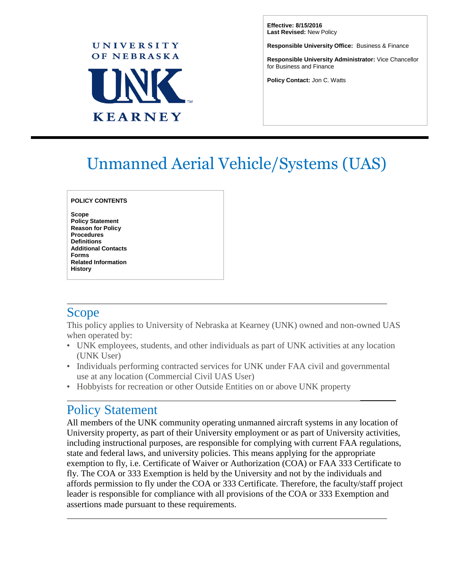

**Effective: 8/15/2016 Last Revised:** New Policy

**Responsible University Office:** Business & Finance

**Responsible University Administrator:** Vice Chancellor for Business and Finance

 $\overline{\phantom{a}}$ 

**Policy Contact:** Jon C. Watts

# Unmanned Aerial Vehicle/Systems (UAS)

**POLICY CONTENTS**

**Scope Policy Statement Reason for Policy Procedures Definitions Additional Contacts Forms Related Information History**

### Scope

This policy applies to University of Nebraska at Kearney (UNK) owned and non-owned UAS when operated by:

- UNK employees, students, and other individuals as part of UNK activities at any location (UNK User)
- Individuals performing contracted services for UNK under FAA civil and governmental use at any location (Commercial Civil UAS User)
- Hobbyists for recreation or other Outside Entities on or above UNK property

### Policy Statement

All members of the UNK community operating unmanned aircraft systems in any location of University property, as part of their University employment or as part of University activities, including instructional purposes, are responsible for complying with current FAA regulations, state and federal laws, and university policies. This means applying for the appropriate exemption to fly, i.e. Certificate of Waiver or Authorization (COA) or FAA 333 Certificate to fly. The COA or 333 Exemption is held by the University and not by the individuals and affords permission to fly under the COA or 333 Certificate. Therefore, the faculty/staff project leader is responsible for compliance with all provisions of the COA or 333 Exemption and assertions made pursuant to these requirements.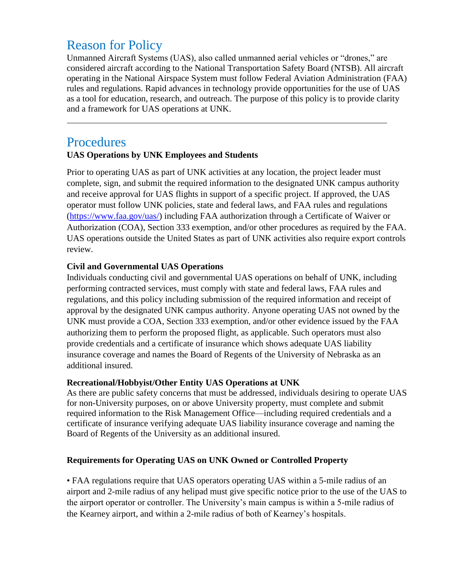# Reason for Policy

Unmanned Aircraft Systems (UAS), also called unmanned aerial vehicles or "drones," are considered aircraft according to the National Transportation Safety Board (NTSB). All aircraft operating in the National Airspace System must follow Federal Aviation Administration (FAA) rules and regulations. Rapid advances in technology provide opportunities for the use of UAS as a tool for education, research, and outreach. The purpose of this policy is to provide clarity and a framework for UAS operations at UNK.

### Procedures

#### **UAS Operations by UNK Employees and Students**

Prior to operating UAS as part of UNK activities at any location, the project leader must complete, sign, and submit the required information to the designated UNK campus authority and receive approval for UAS flights in support of a specific project. If approved, the UAS operator must follow UNK policies, state and federal laws, and FAA rules and regulations [\(https://www.faa.gov/uas/\)](https://www.faa.gov/uas/) including FAA authorization through a Certificate of Waiver or Authorization (COA), Section 333 exemption, and/or other procedures as required by the FAA. UAS operations outside the United States as part of UNK activities also require export controls review.

#### **Civil and Governmental UAS Operations**

Individuals conducting civil and governmental UAS operations on behalf of UNK, including performing contracted services, must comply with state and federal laws, FAA rules and regulations, and this policy including submission of the required information and receipt of approval by the designated UNK campus authority. Anyone operating UAS not owned by the UNK must provide a COA, Section 333 exemption, and/or other evidence issued by the FAA authorizing them to perform the proposed flight, as applicable. Such operators must also provide credentials and a certificate of insurance which shows adequate UAS liability insurance coverage and names the Board of Regents of the University of Nebraska as an additional insured.

#### **Recreational/Hobbyist/Other Entity UAS Operations at UNK**

As there are public safety concerns that must be addressed, individuals desiring to operate UAS for non-University purposes, on or above University property, must complete and submit required information to the Risk Management Office—including required credentials and a certificate of insurance verifying adequate UAS liability insurance coverage and naming the Board of Regents of the University as an additional insured.

#### **Requirements for Operating UAS on UNK Owned or Controlled Property**

• FAA regulations require that UAS operators operating UAS within a 5-mile radius of an airport and 2-mile radius of any helipad must give specific notice prior to the use of the UAS to the airport operator or controller. The University's main campus is within a 5-mile radius of the Kearney airport, and within a 2-mile radius of both of Kearney's hospitals.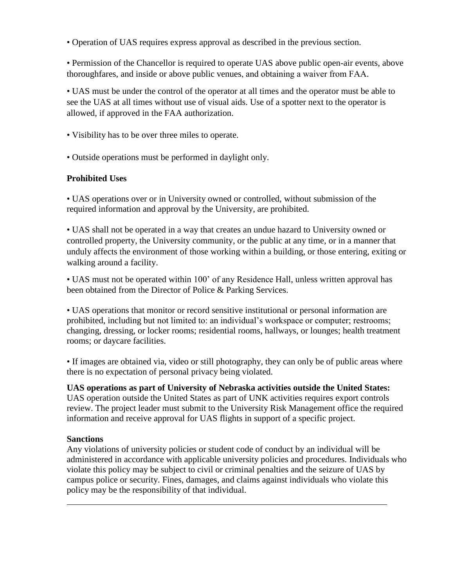• Operation of UAS requires express approval as described in the previous section.

• Permission of the Chancellor is required to operate UAS above public open-air events, above thoroughfares, and inside or above public venues, and obtaining a waiver from FAA.

• UAS must be under the control of the operator at all times and the operator must be able to see the UAS at all times without use of visual aids. Use of a spotter next to the operator is allowed, if approved in the FAA authorization.

• Visibility has to be over three miles to operate.

• Outside operations must be performed in daylight only.

#### **Prohibited Uses**

• UAS operations over or in University owned or controlled, without submission of the required information and approval by the University, are prohibited.

• UAS shall not be operated in a way that creates an undue hazard to University owned or controlled property, the University community, or the public at any time, or in a manner that unduly affects the environment of those working within a building, or those entering, exiting or walking around a facility.

• UAS must not be operated within 100' of any Residence Hall, unless written approval has been obtained from the Director of Police & Parking Services.

• UAS operations that monitor or record sensitive institutional or personal information are prohibited, including but not limited to: an individual's workspace or computer; restrooms; changing, dressing, or locker rooms; residential rooms, hallways, or lounges; health treatment rooms; or daycare facilities.

• If images are obtained via, video or still photography, they can only be of public areas where there is no expectation of personal privacy being violated.

**UAS operations as part of University of Nebraska activities outside the United States:** UAS operation outside the United States as part of UNK activities requires export controls review. The project leader must submit to the University Risk Management office the required information and receive approval for UAS flights in support of a specific project.

#### **Sanctions**

Any violations of university policies or student code of conduct by an individual will be administered in accordance with applicable university policies and procedures. Individuals who violate this policy may be subject to civil or criminal penalties and the seizure of UAS by campus police or security. Fines, damages, and claims against individuals who violate this policy may be the responsibility of that individual.